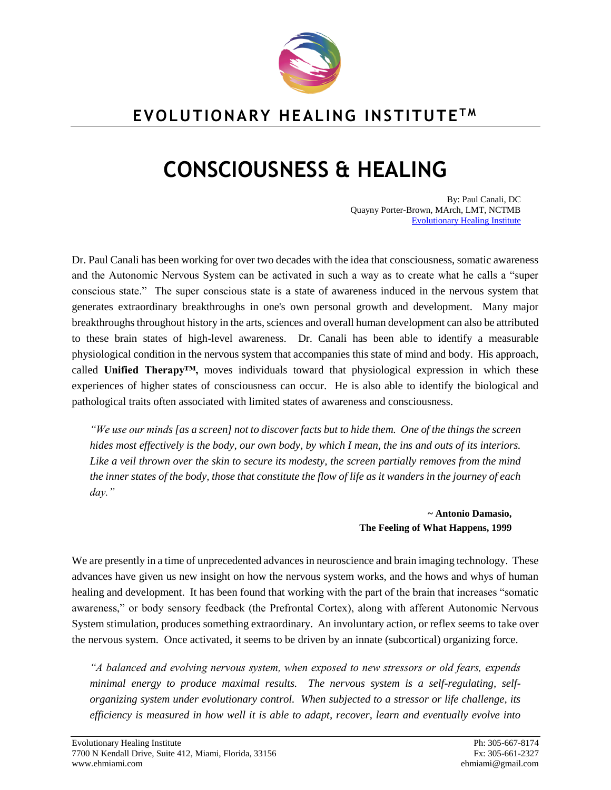

# **EVOLUTIONARY HEALING INSTITUTE T M**

# **CONSCIOUSNESS & HEALING**

By: Paul Canali, DC Quayny Porter-Brown, MArch, LMT, NCTMB [Evolutionary Healing Institute](http://www.ehmiami.com/)

Dr. Paul Canali has been working for over two decades with the idea that consciousness, somatic awareness and the Autonomic Nervous System can be activated in such a way as to create what he calls a "super conscious state." The super conscious state is a state of awareness induced in the nervous system that generates extraordinary breakthroughs in one's own personal growth and development. Many major breakthroughs throughout history in the arts, sciences and overall human development can also be attributed to these brain states of high-level awareness. Dr. Canali has been able to identify a measurable physiological condition in the nervous system that accompanies this state of mind and body. His approach, called **Unified Therapy™,** moves individuals toward that physiological expression in which these experiences of higher states of consciousness can occur. He is also able to identify the biological and pathological traits often associated with limited states of awareness and consciousness.

*"We use our minds [as a screen] not to discover facts but to hide them. One of the things the screen hides most effectively is the body, our own body, by which I mean, the ins and outs of its interiors. Like a veil thrown over the skin to secure its modesty, the screen partially removes from the mind the inner states of the body, those that constitute the flow of life as it wanders in the journey of each day."*

#### **~ Antonio Damasio, The Feeling of What Happens, 1999**

We are presently in a time of unprecedented advances in neuroscience and brain imaging technology. These advances have given us new insight on how the nervous system works, and the hows and whys of human healing and development. It has been found that working with the part of the brain that increases "somatic awareness," or body sensory feedback (the Prefrontal Cortex), along with afferent Autonomic Nervous System stimulation, produces something extraordinary. An involuntary action, or reflex seems to take over the nervous system. Once activated, it seems to be driven by an innate (subcortical) organizing force.

*"A balanced and evolving nervous system, when exposed to new stressors or old fears, expends minimal energy to produce maximal results. The nervous system is a self-regulating, selforganizing system under evolutionary control. When subjected to a stressor or life challenge, its efficiency is measured in how well it is able to adapt, recover, learn and eventually evolve into*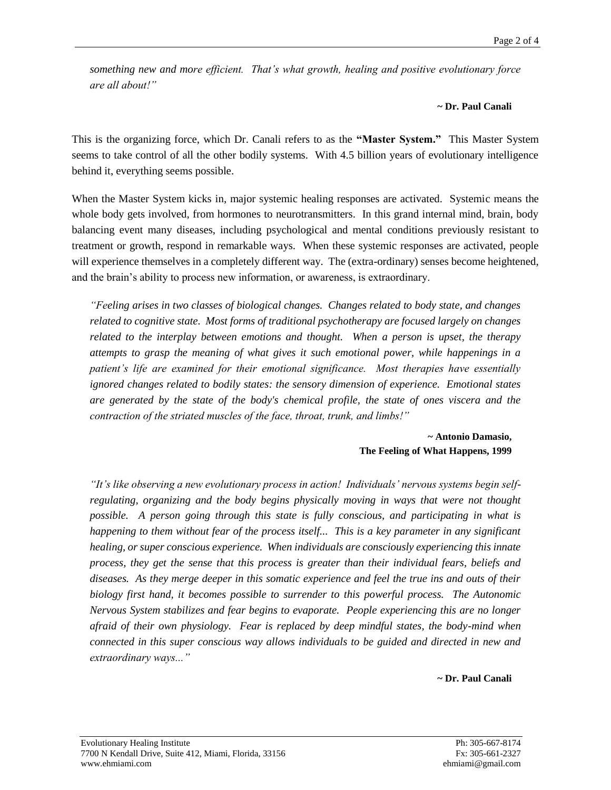*something new and more efficient. That's what growth, healing and positive evolutionary force are all about!"*

### **~ Dr. Paul Canali**

This is the organizing force, which Dr. Canali refers to as the **"Master System."** This Master System seems to take control of all the other bodily systems. With 4.5 billion years of evolutionary intelligence behind it, everything seems possible.

When the Master System kicks in, major systemic healing responses are activated. Systemic means the whole body gets involved, from hormones to neurotransmitters. In this grand internal mind, brain, body balancing event many diseases, including psychological and mental conditions previously resistant to treatment or growth, respond in remarkable ways. When these systemic responses are activated, people will experience themselves in a completely different way. The (extra-ordinary) senses become heightened, and the brain's ability to process new information, or awareness, is extraordinary.

*"Feeling arises in two classes of biological changes. Changes related to body state, and changes related to cognitive state. Most forms of traditional psychotherapy are focused largely on changes related to the interplay between emotions and thought. When a person is upset, the therapy attempts to grasp the meaning of what gives it such emotional power, while happenings in a patient's life are examined for their emotional significance. Most therapies have essentially ignored changes related to bodily states: the sensory dimension of experience. Emotional states are generated by the state of the body's chemical profile, the state of ones viscera and the contraction of the striated muscles of the face, throat, trunk, and limbs!"*

> **~ Antonio Damasio, The Feeling of What Happens, 1999**

*"It's like observing a new evolutionary process in action! Individuals' nervous systems begin selfregulating, organizing and the body begins physically moving in ways that were not thought possible. A person going through this state is fully conscious, and participating in what is happening to them without fear of the process itself... This is a key parameter in any significant healing, or super conscious experience. When individuals are consciously experiencing this innate process, they get the sense that this process is greater than their individual fears, beliefs and diseases. As they merge deeper in this somatic experience and feel the true ins and outs of their biology first hand, it becomes possible to surrender to this powerful process. The Autonomic Nervous System stabilizes and fear begins to evaporate. People experiencing this are no longer afraid of their own physiology. Fear is replaced by deep mindful states, the body-mind when connected in this super conscious way allows individuals to be guided and directed in new and extraordinary ways..."*

**~ Dr. Paul Canali**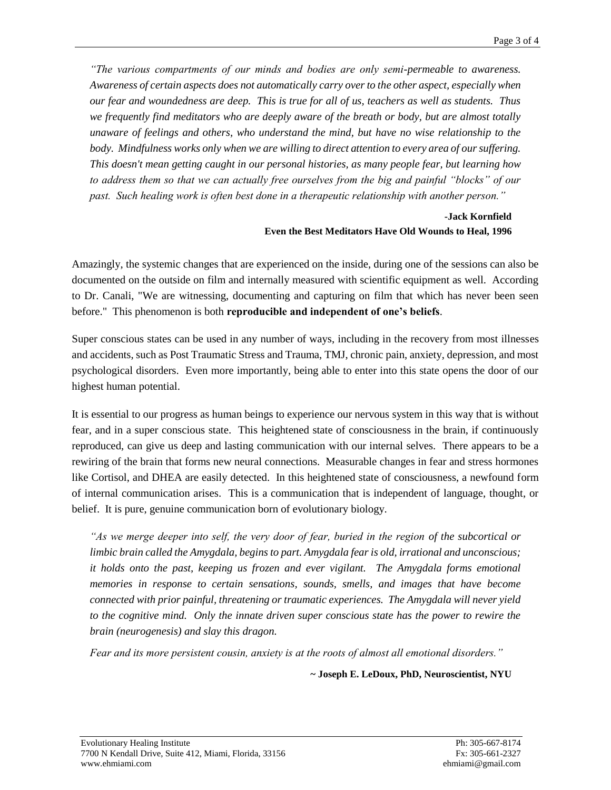*"The various compartments of our minds and bodies are only semi-permeable to awareness. Awareness of certain aspects does not automatically carry over to the other aspect, especially when our fear and woundedness are deep. This is true for all of us, teachers as well as students. Thus we frequently find meditators who are deeply aware of the breath or body, but are almost totally unaware of feelings and others, who understand the mind, but have no wise relationship to the body. Mindfulness works only when we are willing to direct attention to every area of our suffering. This doesn't mean getting caught in our personal histories, as many people fear, but learning how to address them so that we can actually free ourselves from the big and painful "blocks" of our past. Such healing work is often best done in a therapeutic relationship with another person."*

## **-Jack Kornfield Even the Best Meditators Have Old Wounds to Heal, 1996**

Amazingly, the systemic changes that are experienced on the inside, during one of the sessions can also be documented on the outside on film and internally measured with scientific equipment as well. According to Dr. Canali, "We are witnessing, documenting and capturing on film that which has never been seen before." This phenomenon is both **reproducible and independent of one's beliefs**.

Super conscious states can be used in any number of ways, including in the recovery from most illnesses and accidents, such as Post Traumatic Stress and Trauma, TMJ, chronic pain, anxiety, depression, and most psychological disorders. Even more importantly, being able to enter into this state opens the door of our highest human potential.

It is essential to our progress as human beings to experience our nervous system in this way that is without fear, and in a super conscious state. This heightened state of consciousness in the brain, if continuously reproduced, can give us deep and lasting communication with our internal selves. There appears to be a rewiring of the brain that forms new neural connections. Measurable changes in fear and stress hormones like Cortisol, and DHEA are easily detected. In this heightened state of consciousness, a newfound form of internal communication arises. This is a communication that is independent of language, thought, or belief. It is pure, genuine communication born of evolutionary biology.

*"As we merge deeper into self, the very door of fear, buried in the region of the subcortical or limbic brain called the Amygdala, begins to part. Amygdala fear is old, irrational and unconscious; it holds onto the past, keeping us frozen and ever vigilant. The Amygdala forms emotional memories in response to certain sensations, sounds, smells, and images that have become connected with prior painful, threatening or traumatic experiences. The Amygdala will never yield to the cognitive mind. Only the innate driven super conscious state has the power to rewire the brain (neurogenesis) and slay this dragon.*

*Fear and its more persistent cousin, anxiety is at the roots of almost all emotional disorders."*

**~ Joseph E. LeDoux, PhD, Neuroscientist, NYU**